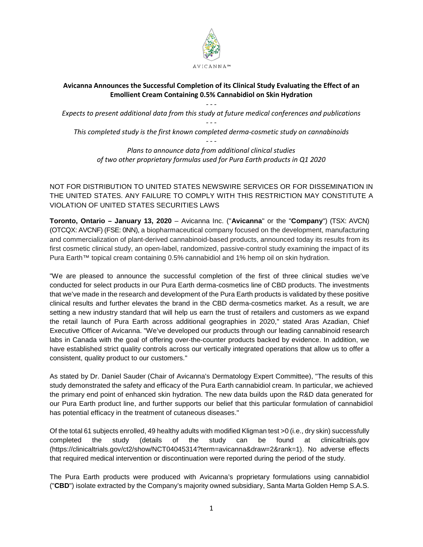

# **Avicanna Announces the Successful Completion of its Clinical Study Evaluating the Effect of an Emollient Cream Containing 0.5% Cannabidiol on Skin Hydration**

*- - - Expects to present additional data from this study at future medical conferences and publications - - -*

*This completed study is the first known completed derma-cosmetic study on cannabinoids - - -*

*Plans to announce data from additional clinical studies of two other proprietary formulas used for Pura Earth products in Q1 2020*

NOT FOR DISTRIBUTION TO UNITED STATES NEWSWIRE SERVICES OR FOR DISSEMINATION IN THE UNITED STATES. ANY FAILURE TO COMPLY WITH THIS RESTRICTION MAY CONSTITUTE A VIOLATION OF UNITED STATES SECURITIES LAWS

**Toronto, Ontario – January 13, 2020** – Avicanna Inc. ("**Avicanna**" or the "**Company**") (TSX: AVCN) (OTCQX: AVCNF) (FSE: 0NN), a biopharmaceutical company focused on the development, manufacturing and commercialization of plant-derived cannabinoid-based products, announced today its results from its first cosmetic clinical study, an open-label, randomized, passive-control study examining the impact of its Pura Earth™ topical cream containing 0.5% cannabidiol and 1% hemp oil on skin hydration.

"We are pleased to announce the successful completion of the first of three clinical studies we've conducted for select products in our Pura Earth derma-cosmetics line of CBD products. The investments that we've made in the research and development of the Pura Earth products is validated by these positive clinical results and further elevates the brand in the CBD derma-cosmetics market. As a result, we are setting a new industry standard that will help us earn the trust of retailers and customers as we expand the retail launch of Pura Earth across additional geographies in 2020," stated Aras Azadian, Chief Executive Officer of Avicanna. "We've developed our products through our leading cannabinoid research labs in Canada with the goal of offering over-the-counter products backed by evidence. In addition, we have established strict quality controls across our vertically integrated operations that allow us to offer a consistent, quality product to our customers."

As stated by Dr. Daniel Sauder (Chair of Avicanna's Dermatology Expert Committee), "The results of this study demonstrated the safety and efficacy of the Pura Earth cannabidiol cream. In particular, we achieved the primary end point of enhanced skin hydration. The new data builds upon the R&D data generated for our Pura Earth product line, and further supports our belief that this particular formulation of cannabidiol has potential efficacy in the treatment of cutaneous diseases."

Of the total 61 subjects enrolled, 49 healthy adults with modified Kligman test >0 (i.e., dry skin) successfully completed the study (details of the study can be found at clinicaltrials.gov (https://clinicaltrials.gov/ct2/show/NCT04045314?term=avicanna&draw=2&rank=1). No adverse effects that required medical intervention or discontinuation were reported during the period of the study.

The Pura Earth products were produced with Avicanna's proprietary formulations using cannabidiol ("**CBD**") isolate extracted by the Company's majority owned subsidiary, Santa Marta Golden Hemp S.A.S.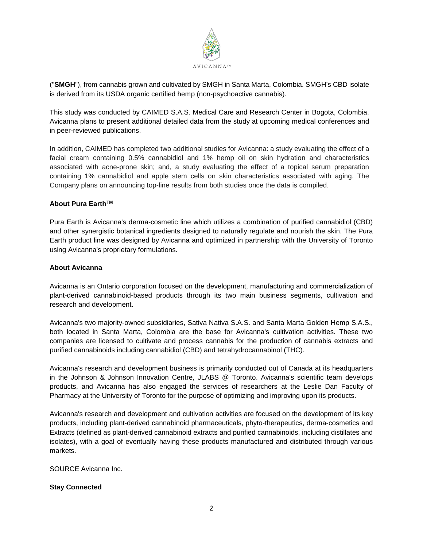

("**SMGH**"), from cannabis grown and cultivated by SMGH in Santa Marta, Colombia. SMGH's CBD isolate is derived from its USDA organic certified hemp (non-psychoactive cannabis).

This study was conducted by CAIMED S.A.S. Medical Care and Research Center in Bogota, Colombia. Avicanna plans to present additional detailed data from the study at upcoming medical conferences and in peer-reviewed publications.

In addition, CAIMED has completed two additional studies for Avicanna: a study evaluating the effect of a facial cream containing 0.5% cannabidiol and 1% hemp oil on skin hydration and characteristics associated with acne-prone skin; and, a study evaluating the effect of a topical serum preparation containing 1% cannabidiol and apple stem cells on skin characteristics associated with aging. The Company plans on announcing top-line results from both studies once the data is compiled.

## **About Pura EarthTM**

Pura Earth is Avicanna's derma-cosmetic line which utilizes a combination of purified cannabidiol (CBD) and other synergistic botanical ingredients designed to naturally regulate and nourish the skin. The Pura Earth product line was designed by Avicanna and optimized in partnership with the University of Toronto using Avicanna's proprietary formulations.

#### **About Avicanna**

Avicanna is an Ontario corporation focused on the development, manufacturing and commercialization of plant-derived cannabinoid-based products through its two main business segments, cultivation and research and development.

Avicanna's two majority-owned subsidiaries, Sativa Nativa S.A.S. and Santa Marta Golden Hemp S.A.S., both located in Santa Marta, Colombia are the base for Avicanna's cultivation activities. These two companies are licensed to cultivate and process cannabis for the production of cannabis extracts and purified cannabinoids including cannabidiol (CBD) and tetrahydrocannabinol (THC).

Avicanna's research and development business is primarily conducted out of Canada at its headquarters in the Johnson & Johnson Innovation Centre, JLABS @ Toronto. Avicanna's scientific team develops products, and Avicanna has also engaged the services of researchers at the Leslie Dan Faculty of Pharmacy at the University of Toronto for the purpose of optimizing and improving upon its products.

Avicanna's research and development and cultivation activities are focused on the development of its key products, including plant-derived cannabinoid pharmaceuticals, phyto-therapeutics, derma-cosmetics and Extracts (defined as plant-derived cannabinoid extracts and purified cannabinoids, including distillates and isolates), with a goal of eventually having these products manufactured and distributed through various markets.

SOURCE Avicanna Inc.

#### **Stay Connected**